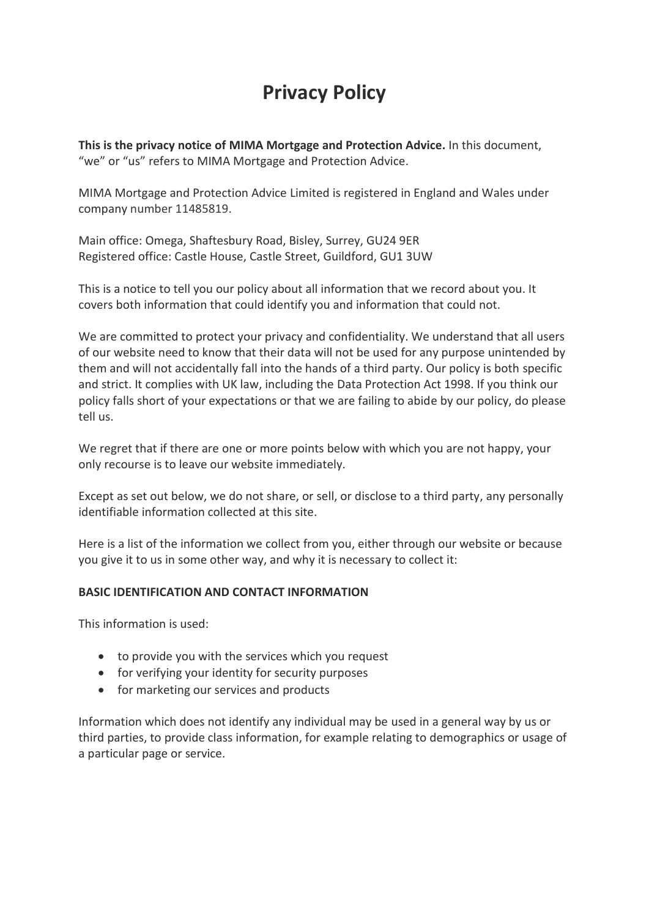# **Privacy Policy**

**This is the privacy notice of MIMA Mortgage and Protection Advice.** In this document, "we" or "us" refers to MIMA Mortgage and Protection Advice.

MIMA Mortgage and Protection Advice Limited is registered in England and Wales under company number 11485819.

Main office: Omega, Shaftesbury Road, Bisley, Surrey, GU24 9ER Registered office: Castle House, Castle Street, Guildford, GU1 3UW

This is a notice to tell you our policy about all information that we record about you. It covers both information that could identify you and information that could not.

We are committed to protect your privacy and confidentiality. We understand that all users of our website need to know that their data will not be used for any purpose unintended by them and will not accidentally fall into the hands of a third party. Our policy is both specific and strict. It complies with UK law, including the Data Protection Act 1998. If you think our policy falls short of your expectations or that we are failing to abide by our policy, do please tell us.

We regret that if there are one or more points below with which you are not happy, your only recourse is to leave our website immediately.

Except as set out below, we do not share, or sell, or disclose to a third party, any personally identifiable information collected at this site.

Here is a list of the information we collect from you, either through our website or because you give it to us in some other way, and why it is necessary to collect it:

# **BASIC IDENTIFICATION AND CONTACT INFORMATION**

This information is used:

- to provide you with the services which you request
- for verifying your identity for security purposes
- for marketing our services and products

Information which does not identify any individual may be used in a general way by us or third parties, to provide class information, for example relating to demographics or usage of a particular page or service.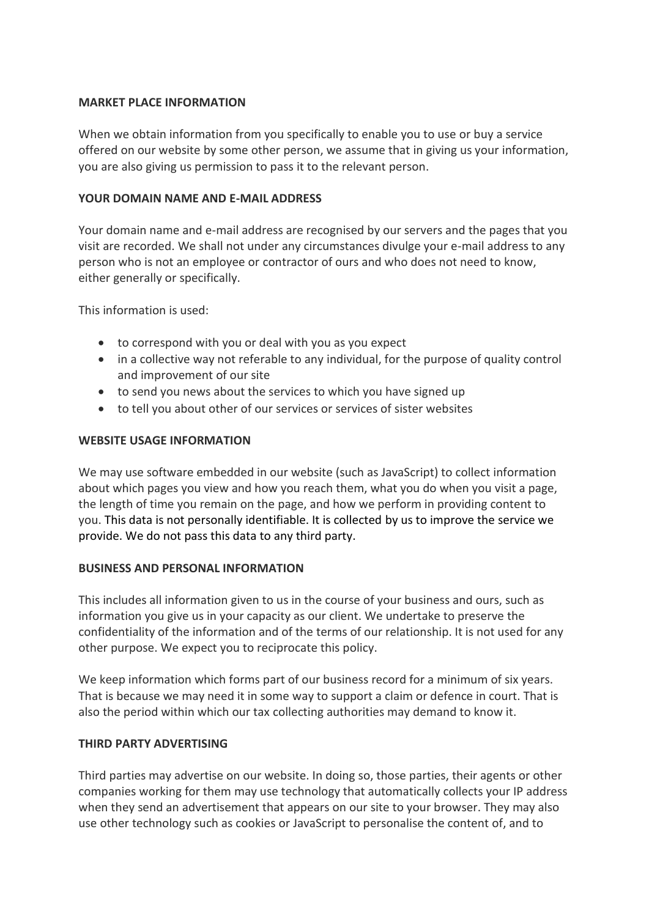#### **MARKET PLACE INFORMATION**

When we obtain information from you specifically to enable you to use or buy a service offered on our website by some other person, we assume that in giving us your information, you are also giving us permission to pass it to the relevant person.

## **YOUR DOMAIN NAME AND E-MAIL ADDRESS**

Your domain name and e-mail address are recognised by our servers and the pages that you visit are recorded. We shall not under any circumstances divulge your e-mail address to any person who is not an employee or contractor of ours and who does not need to know, either generally or specifically.

This information is used:

- to correspond with you or deal with you as you expect
- in a collective way not referable to any individual, for the purpose of quality control and improvement of our site
- to send you news about the services to which you have signed up
- to tell you about other of our services or services of sister websites

## **WEBSITE USAGE INFORMATION**

We may use software embedded in our website (such as JavaScript) to collect information about which pages you view and how you reach them, what you do when you visit a page, the length of time you remain on the page, and how we perform in providing content to you. This data is not personally identifiable. It is collected by us to improve the service we provide. We do not pass this data to any third party.

# **BUSINESS AND PERSONAL INFORMATION**

This includes all information given to us in the course of your business and ours, such as information you give us in your capacity as our client. We undertake to preserve the confidentiality of the information and of the terms of our relationship. It is not used for any other purpose. We expect you to reciprocate this policy.

We keep information which forms part of our business record for a minimum of six years. That is because we may need it in some way to support a claim or defence in court. That is also the period within which our tax collecting authorities may demand to know it.

# **THIRD PARTY ADVERTISING**

Third parties may advertise on our website. In doing so, those parties, their agents or other companies working for them may use technology that automatically collects your IP address when they send an advertisement that appears on our site to your browser. They may also use other technology such as cookies or JavaScript to personalise the content of, and to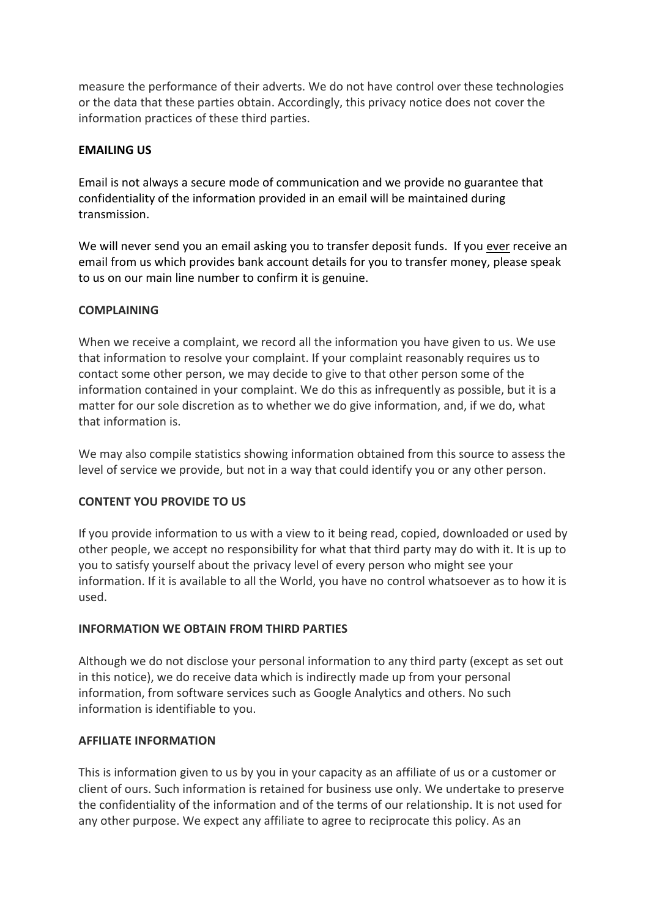measure the performance of their adverts. We do not have control over these technologies or the data that these parties obtain. Accordingly, this privacy notice does not cover the information practices of these third parties.

## **EMAILING US**

Email is not always a secure mode of communication and we provide no guarantee that confidentiality of the information provided in an email will be maintained during transmission.

We will never send you an email asking you to transfer deposit funds. If you ever receive an email from us which provides bank account details for you to transfer money, please speak to us on our main line number to confirm it is genuine.

## **COMPLAINING**

When we receive a complaint, we record all the information you have given to us. We use that information to resolve your complaint. If your complaint reasonably requires us to contact some other person, we may decide to give to that other person some of the information contained in your complaint. We do this as infrequently as possible, but it is a matter for our sole discretion as to whether we do give information, and, if we do, what that information is.

We may also compile statistics showing information obtained from this source to assess the level of service we provide, but not in a way that could identify you or any other person.

# **CONTENT YOU PROVIDE TO US**

If you provide information to us with a view to it being read, copied, downloaded or used by other people, we accept no responsibility for what that third party may do with it. It is up to you to satisfy yourself about the privacy level of every person who might see your information. If it is available to all the World, you have no control whatsoever as to how it is used.

# **INFORMATION WE OBTAIN FROM THIRD PARTIES**

Although we do not disclose your personal information to any third party (except as set out in this notice), we do receive data which is indirectly made up from your personal information, from software services such as Google Analytics and others. No such information is identifiable to you.

# **AFFILIATE INFORMATION**

This is information given to us by you in your capacity as an affiliate of us or a customer or client of ours. Such information is retained for business use only. We undertake to preserve the confidentiality of the information and of the terms of our relationship. It is not used for any other purpose. We expect any affiliate to agree to reciprocate this policy. As an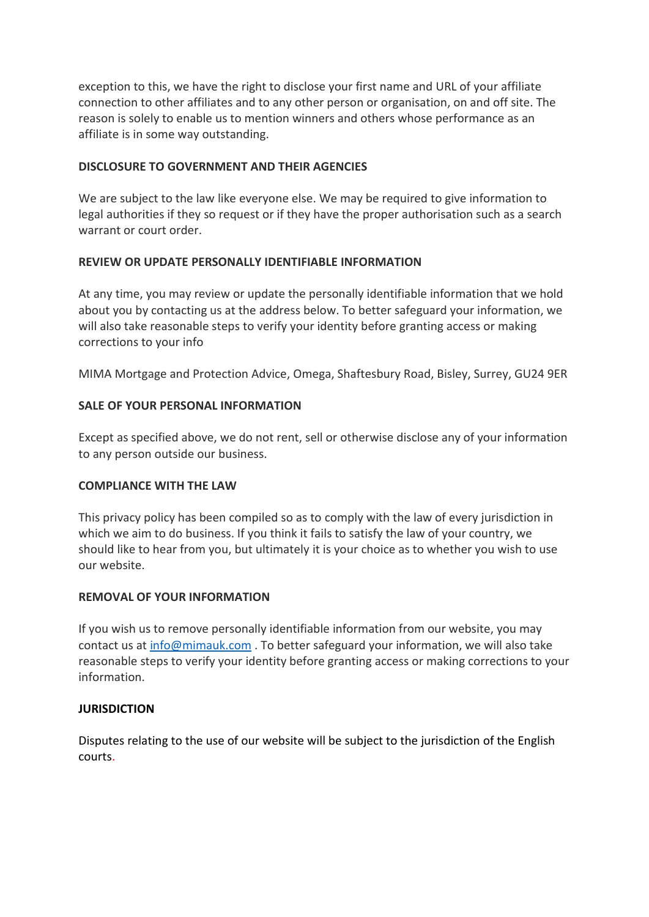exception to this, we have the right to disclose your first name and URL of your affiliate connection to other affiliates and to any other person or organisation, on and off site. The reason is solely to enable us to mention winners and others whose performance as an affiliate is in some way outstanding.

## **DISCLOSURE TO GOVERNMENT AND THEIR AGENCIES**

We are subject to the law like everyone else. We may be required to give information to legal authorities if they so request or if they have the proper authorisation such as a search warrant or court order.

# **REVIEW OR UPDATE PERSONALLY IDENTIFIABLE INFORMATION**

At any time, you may review or update the personally identifiable information that we hold about you by contacting us at the address below. To better safeguard your information, we will also take reasonable steps to verify your identity before granting access or making corrections to your info

MIMA Mortgage and Protection Advice, Omega, Shaftesbury Road, Bisley, Surrey, GU24 9ER

## **SALE OF YOUR PERSONAL INFORMATION**

Except as specified above, we do not rent, sell or otherwise disclose any of your information to any person outside our business.

#### **COMPLIANCE WITH THE LAW**

This privacy policy has been compiled so as to comply with the law of every jurisdiction in which we aim to do business. If you think it fails to satisfy the law of your country, we should like to hear from you, but ultimately it is your choice as to whether you wish to use our website.

#### **REMOVAL OF YOUR INFORMATION**

If you wish us to remove personally identifiable information from our website, you may contact us at info@mimauk.com. To better safeguard your information, we will also take reasonable steps to verify your identity before granting access or making corrections to your information.

#### **JURISDICTION**

Disputes relating to the use of our website will be subject to the jurisdiction of the English courts.